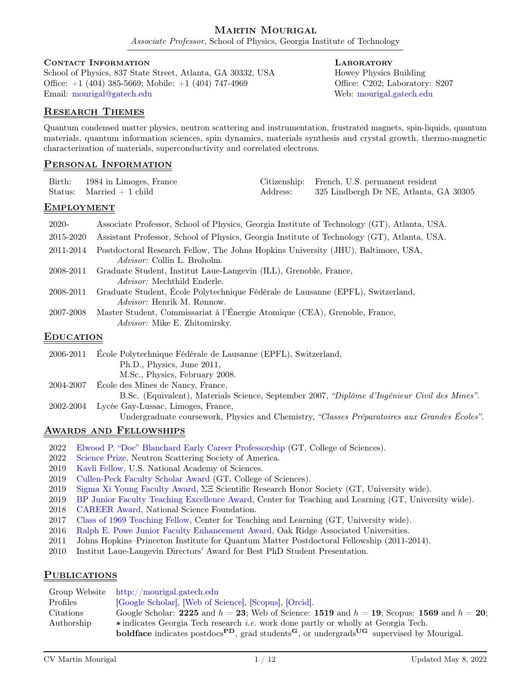## CONTACT INFORMATION

School of Physics, 837 State Street, Atlanta, GA 30332, USA Office: +1 (404) 385-5669; Mobile: +1 (404) 747-4969 Email: [mourigal@gatech.edu](mailto:martin@gatech.edu)

#### **LABORATORY** Howey Physics Building Office: C202; Laboratory: S207 Web: [mourigal.gatech.edu](http://mourigal.gatech.edu)

## RESEARCH THEMES

Quantum condensed matter physics, neutron scattering and instrumentation, frustrated magnets, spin-liquids, quantum materials, quantum information sciences, spin dynamics, materials synthesis and crystal growth, thermo-magnetic characterization of materials, superconductivity and correlated electrons.

## Personal Information

| Birth: | 1984 in Limoges, France    |          | Citizenship: French, U.S. permanent resident |
|--------|----------------------------|----------|----------------------------------------------|
|        | Status: Married $+1$ child | Address: | 325 Lindbergh Dr NE, Atlanta, GA 30305       |

## **EMPLOYMENT**

| 2020-            | Associate Professor, School of Physics, Georgia Institute of Technology (GT), Atlanta, USA. |  |
|------------------|---------------------------------------------------------------------------------------------|--|
| 2015-2020        | Assistant Professor, School of Physics, Georgia Institute of Technology (GT), Atlanta, USA. |  |
| 2011-2014        | Postdoctoral Research Fellow, The Johns Hopkins University (JHU), Baltimore, USA,           |  |
|                  | <i>Advisor:</i> Collin L. Broholm.                                                          |  |
| 2008-2011        | Graduate Student, Institut Laue-Langevin (ILL), Grenoble, France,                           |  |
|                  | <i>Advisor:</i> Mechthild Enderle.                                                          |  |
| 2008-2011        | Graduate Student, École Polytechnique Fédérale de Lausanne (EPFL), Switzerland,             |  |
|                  | Advisor: Henrik M. Rønnow.                                                                  |  |
| 2007-2008        | Master Student, Commissariat à l'Énergie Atomique (CEA), Grenoble, France,                  |  |
|                  | <i>Advisor:</i> Mike E. Zhitomirsky.                                                        |  |
| <b>EDUCATION</b> |                                                                                             |  |

2006-2011 École Polytechnique Fédérale de Lausanne (EPFL), Switzerland, Ph.D., Physics, June 2011, M.Sc., Physics, February 2008. 2004-2007 École des Mines de Nancy, France, B.Sc. (Equivalent), Materials Science, September 2007, "Diplôme d'Ingénieur Civil des Mines".

2002-2004 Lycée Gay-Lussac, Limoges, France, Undergraduate coursework, Physics and Chemistry, "Classes Préparatoires aux Grandes Écoles".

## Awards and Fellowships

- 2022 Elwood P. "Doc" Blanchard Early Career Professorship (GT, College of Sciences).
- 2022 [Science Prize,](https://mourigal.gatech.edu/public/2022_NSSA-Science-Prize_Mourigal_press_release.pdf) Neutron Scattering Society of America.
- 2019 [Kavli Fellow,](http://www.nasonline.org/programs/kavli-frontiers-of-science/news/2019-kavli-fellows.html) U.S. National Academy of Sciences.
- 2019 Cullen-Peck Faculty Scholar Award (GT, College of Sciences).
- 2019 [Sigma Xi Young Faculty Award,](https://sigmaxi.gatech.edu/georgia-tech-sigma-xi-research-awards/) ΣΞ Scientific Research Honor Society (GT, University wide).
- 2019 [BP Junior Faculty Teaching Excellence Award,](https://www.ctl.gatech.edu/faculty/awards/ctl-bp) Center for Teaching and Learning (GT, University wide).
- 2018 [CAREER Award,](https://www.nsf.gov/awardsearch/showAward?AWD_ID=1750186) National Science Foundation.
- 2017 [Class of 1969 Teaching Fellow,](http://www.cetl.gatech.edu/faculty/programs/learning-communities/1969-fellows) Center for Teaching and Learning (GT, University wide).
- 2016 [Ralph E. Powe Junior Faculty Enhancement Award,](http://www.orau.org/university-partnerships/faculty-student-programs/powe/) Oak Ridge Associated Universities.
- 2011 Johns Hopkins–Princeton Institute for Quantum Matter Postdoctoral Fellowship (2011-2014).
- 2010 Institut Laue-Langevin Directors' Award for Best PhD Student Presentation.

# PUBLICATIONS

|            | Group Website $\frac{http://mourigal.gatech.edu}{http://mourigal.gatech.edu}$                                                       |
|------------|-------------------------------------------------------------------------------------------------------------------------------------|
| Profiles   | [Google Scholar], [Web of Science], [Scopus], [Orcid].                                                                              |
| Citations  | Google Scholar: 2225 and $h = 23$ ; Web of Science: 1519 and $h = 19$ ; Scopus: 1569 and $h = 20$ ;                                 |
| Authorship | * indicates Georgia Tech research <i>i.e.</i> work done partly or wholly at Georgia Tech.                                           |
|            | <b>boldface</b> indicates postdocs <sup>PD</sup> , grad students <sup>G</sup> , or undergrads <sup>UG</sup> supervised by Mourigal. |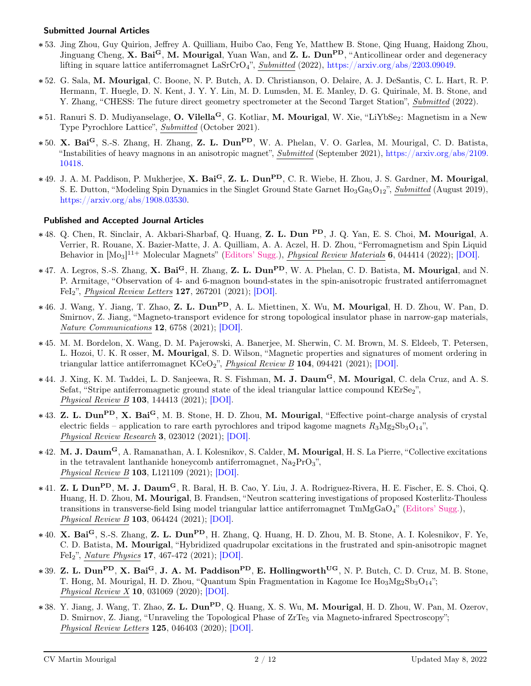#### Submitted Journal Articles

- ∗ 53. Jing Zhou, Guy Quirion, Jeffrey A. Quilliam, Huibo Cao, Feng Ye, Matthew B. Stone, Qing Huang, Haidong Zhou, Jinguang Cheng, X. Bai<sup>G</sup>, M. Mourigal, Yuan Wan, and Z. L. Dun<sup>PD</sup>, "Anticollinear order and degeneracy lifting in square lattice antiferromagnet LaSrCrO<sub>4</sub>", Submitted (2022), [https://arxiv.org/abs/2203.09049.](https://arxiv.org/abs/2203.09049)
- ∗ 52. G. Sala, M. Mourigal, C. Boone, N. P. Butch, A. D. Christianson, O. Delaire, A. J. DeSantis, C. L. Hart, R. P. Hermann, T. Huegle, D. N. Kent, J. Y. Y. Lin, M. D. Lumsden, M. E. Manley, D. G. Quirinale, M. B. Stone, and Y. Zhang, "CHESS: The future direct geometry spectrometer at the Second Target Station", Submitted (2022).
- ∗51. Ranuri S. D. Mudiyanselage, O. Vilella<sup>G</sup>, G. Kotliar, M. Mourigal, W. Xie, "LiYbSe2: Magnetism in a New Type Pyrochlore Lattice", Submitted (October 2021).
- ∗ 50. X. Bai<sup>G</sup>, S.-S. Zhang, H. Zhang, Z. L. DunPD, W. A. Phelan, V. O. Garlea, M. Mourigal, C. D. Batista, "Instabilities of heavy magnons in an anisotropic magnet", Submitted (September 2021), [https://arxiv.org/abs/2109.](https://arxiv.org/abs/2109.10418) [10418.](https://arxiv.org/abs/2109.10418)
- ∗ 49. J. A. M. Paddison, P. Mukherjee, X. BaiG, Z. L. DunPD, C. R. Wiebe, H. Zhou, J. S. Gardner, M. Mourigal, S. E. Dutton, "Modeling Spin Dynamics in the Singlet Ground State Garnet  $H_{03}Ga<sub>5</sub>O<sub>12</sub>$ ", Submitted (August 2019), [https://arxiv.org/abs/1908.03530.](https://arxiv.org/abs/1908.03530)

## Published and Accepted Journal Articles

- ∗ 48. Q. Chen, R. Sinclair, A. Akbari-Sharbaf, Q. Huang, Z. L. Dun PD, J. Q. Yan, E. S. Choi, M. Mourigal, A. Verrier, R. Rouane, X. Bazier-Matte, J. A. Quilliam, A. A. Aczel, H. D. Zhou, "Ferromagnetism and Spin Liquid Behavior in  $[Mo_3]^{11+}$  Molecular Magnets" (Editors' Sugg.), Physical Review Materials 6, 044414 (2022); [\[DOI\].](https://doi.org/10.1103/PhysRevMaterials.6.044414)
- ∗ 47. A. Legros, S.-S. Zhang, X. Bai<sup>G</sup>, H. Zhang, Z. L. DunPD, W. A. Phelan, C. D. Batista, M. Mourigal, and N. P. Armitage, "Observation of 4- and 6-magnon bound-states in the spin-anisotropic frustrated antiferromagnet FeI2", Physical Review Letters 127, 267201 (2021); [\[DOI\].](https://doi.org/10.1103/PhysRevLett.127.267201)
- ∗ 46. J. Wang, Y. Jiang, T. Zhao, Z. L. DunPD, A. L. Miettinen, X. Wu, M. Mourigal, H. D. Zhou, W. Pan, D. Smirnov, Z. Jiang, "Magneto-transport evidence for strong topological insulator phase in narrow-gap materials, Nature Communications 12, 6758 (2021); [\[DOI\].](https://doi.org/10.1038/s41467-021-27119-5)
- ∗ 45. M. M. Bordelon, X. Wang, D. M. Pajerowski, A. Banerjee, M. Sherwin, C. M. Brown, M. S. Eldeeb, T. Petersen, L. Hozoi, U. K. R osser, M. Mourigal, S. D. Wilson, "Magnetic properties and signatures of moment ordering in triangular lattice antiferromagnet  $KCeO<sub>2</sub>$ ", *Physical Review B* 104, 094421 (2021); [\[DOI\].](https://dx.doi.org/10.1103/PhysRevB.104.094421)
- ∗ 44. J. Xing, K. M. Taddei, L. D. Sanjeewa, R. S. Fishman, M. J. Daum<sup>G</sup>, M. Mourigal, C. dela Cruz, and A. S. Sefat, "Stripe antiferromagnetic ground state of the ideal triangular lattice compound KErSe<sub>2</sub>", Physical Review B 103, 144413 (2021); [\[DOI\].](https://doi.org/https://doi.org/10.1103/PhysRevB.103.144413)
- ∗ 43. Z. L. DunPD, X. Bai<sup>G</sup>, M. B. Stone, H. D. Zhou, M. Mourigal, "Effective point-charge analysis of crystal electric fields – application to rare earth pyrochlores and tripod kagome magnets  $R_3Mg_2Sb_3O_14$ ", Physical Review Research 3, 023012 (2021); [\[DOI\].](https://doi.org/https://doi.org/10.1103/PhysRevResearch.3.023012)
- ∗ 42. M. J. Daum<sup>G</sup>, A. Ramanathan, A. I. Kolesnikov, S. Calder, M. Mourigal, H. S. La Pierre, "Collective excitations in the tetravalent lanthanide honeycomb antiferromagnet,  $Na<sub>2</sub>PrO<sub>3</sub>$ ", Physical Review B 103, L121109 (2021); [\[DOI\].](https://doi.org/10.1103/PhysRevB.103.L121109)
- ∗ 41. Z. L DunPD, M. J. Daum<sup>G</sup>, R. Baral, H. B. Cao, Y. Liu, J. A. Rodriguez-Rivera, H. E. Fischer, E. S. Choi, Q. Huang, H. D. Zhou, M. Mourigal, B. Frandsen, "Neutron scattering investigations of proposed Kosterlitz-Thouless transitions in transverse-field Ising model triangular lattice antiferromagnet TmMgGaO4" (Editors' Sugg.), Physical Review B 103, 064424 (2021); [\[DOI\].](https://doi.org/10.1103/PhysRevB.103.064424)
- ∗ 40. X. Bai<sup>G</sup>, S.-S. Zhang, Z. L. DunPD, H. Zhang, Q. Huang, H. D. Zhou, M. B. Stone, A. I. Kolesnikov, F. Ye, C. D. Batista, M. Mourigal, "Hybridized quadrupolar excitations in the frustrated and spin-anisotropic magnet FeI2", Nature Physics 17, 467-472 (2021); [\[DOI\].](https://doi.org/10.1038/s41567-020-01110-1)
- ∗ 39. Z. L. DunPD, X. Bai<sup>G</sup>, J. A. M. PaddisonPD, E. HollingworthUG, N. P. Butch, C. D. Cruz, M. B. Stone, T. Hong, M. Mourigal, H. D. Zhou, "Quantum Spin Fragmentation in Kagome Ice  $H_{03}M_{22}S_{0}O_{14}$ "; Physical Review X 10, 031069 (2020); [\[DOI\].](https://doi.org/10.1103/PhysRevX.10.031069)
- ∗ 38. Y. Jiang, J. Wang, T. Zhao, Z. L. DunPD, Q. Huang, X. S. Wu, M. Mourigal, H. D. Zhou, W. Pan, M. Ozerov, D. Smirnov, Z. Jiang, "Unraveling the Topological Phase of ZrTe<sub>5</sub> via Magneto-infrared Spectroscopy"; Physical Review Letters 125, 046403 (2020); [\[DOI\].](https://doi.org/10.1103/PhysRevLett.125.046403)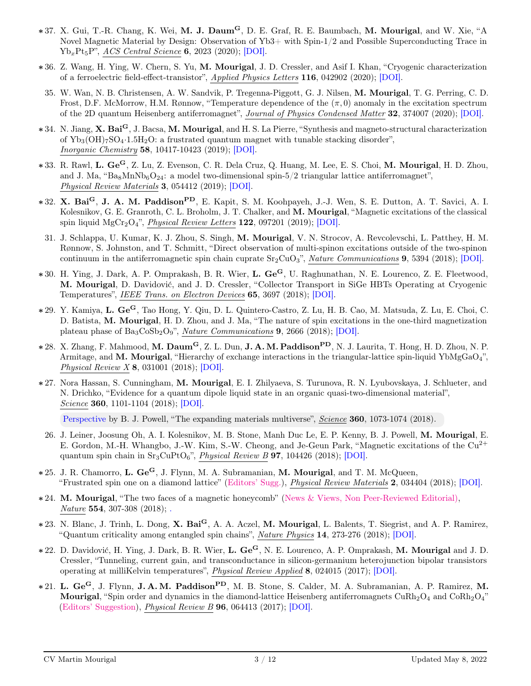- ∗ 37. X. Gui, T.-R. Chang, K. Wei, M. J. Daum<sup>G</sup>, D. E. Graf, R. E. Baumbach, M. Mourigal, and W. Xie, "A Novel Magnetic Material by Design: Observation of Yb3+ with Spin-1/2 and Possible Superconducting Trace in  $Yb_xPt_5P''$ , *ACS Central Science* 6, 2023 (2020); [\[DOI\].](https://doi.org/10.1021/acscentsci.0c00691)
- ∗ 36. Z. Wang, H. Ying, W. Chern, S. Yu, M. Mourigal, J. D. Cressler, and Asif I. Khan, "Cryogenic characterization of a ferroelectric field-effect-transistor", Applied Physics Letters 116, 042902 (2020); [\[DOI\].](https://doi.org/10.1063/1.5129692)
- 35. W. Wan, N. B. Christensen, A. W. Sandvik, P. Tregenna-Piggott, G. J. Nilsen, M. Mourigal, T. G. Perring, C. D. Frost, D.F. McMorrow, H.M. Rønnow, "Temperature dependence of the  $(\pi, 0)$  anomaly in the excitation spectrum of the 2D quantum Heisenberg antiferromagnet", Journal of Physics Condensed Matter 32, 374007 (2020); [\[DOI\].](https://doi.org/10.1088/1361-648X/ab757a)
- ∗ 34. N. Jiang, X. BaiG, J. Bacsa, M. Mourigal, and H. S. La Pierre, "Synthesis and magneto-structural characterization of  $Yb_3(OH)_7SO_4 \cdot 1.5H_2O$ : a frustrated quantum magnet with tunable stacking disorder", Inorganic Chemistry 58, 10417-10423 (2019); [\[DOI\].](https://doi.org/10.1021/acs.inorgchem.9b01674)
- ∗ 33. R. Rawl, L. GeG, Z. Lu, Z. Evenson, C. R. Dela Cruz, Q. Huang, M. Lee, E. S. Choi, M. Mourigal, H. D. Zhou, and J. Ma, "Ba<sub>8</sub>MnNb<sub>6</sub>O<sub>24</sub>: a model two-dimensional spin-5/2 triangular lattice antiferromagnet", Physical Review Materials 3, 054412 (2019); [\[DOI\].](https://doi.org/10.1103/PhysRevMaterials.3.054412)
- ∗ 32. X. Bai<sup>G</sup>, J. A. M. PaddisonPD, E. Kapit, S. M. Koohpayeh, J.-J. Wen, S. E. Dutton, A. T. Savici, A. I. Kolesnikov, G. E. Granroth, C. L. Broholm, J. T. Chalker, and M. Mourigal, "Magnetic excitations of the classical spin liquid MgCr<sub>2</sub>O<sub>4</sub>", *Physical Review Letters* **122**, 097201 (2019); [\[DOI\].](https://doi.org/10.1103/PhysRevLett.122.097201)
	- 31. J. Schlappa, U. Kumar, K. J. Zhou, S. Singh, M. Mourigal, V. N. Strocov, A. Revcolevschi, L. Patthey, H. M. Rønnow, S. Johnston, and T. Schmitt, "Direct observation of multi-spinon excitations outside of the two-spinon continuum in the antiferromagnetic spin chain cuprate  $Sr_2CuO_3$ ", *Nature Communications* 9, 5394 (2018); [\[DOI\].](https://doi.org/10.1038/s41467-018-07838-y)
- ∗ 30. H. Ying, J. Dark, A. P. Omprakash, B. R. Wier, L. Ge<sup>G</sup>, U. Raghunathan, N. E. Lourenco, Z. E. Fleetwood, M. Mourigal, D. Davidović, and J. D. Cressler, "Collector Transport in SiGe HBTs Operating at Cryogenic Temperatures", IEEE Trans. on Electron Devices 65, 3697 (2018); [\[DOI\].](https://doi.org/10.1109/TED.2018.2854288)
- ∗ 29. Y. Kamiya, L. Ge<sup>G</sup>, Tao Hong, Y. Qiu, D. L. Quintero-Castro, Z. Lu, H. B. Cao, M. Matsuda, Z. Lu, E. Choi, C. D. Batista, M. Mourigal, H. D. Zhou, and J. Ma, "The nature of spin excitations in the one-third magnetization plateau phase of  $Ba_3CoSb_2O_9$ ", *Nature Communications* **9**, 2666 (2018); [\[DOI\].](https://doi.org/10.1038/s41467-018-04914-1)
- ∗ 28. X. Zhang, F. Mahmood, M. Daum<sup>G</sup>, Z. L. Dun, J. A. M. PaddisonPD, N. J. Laurita, T. Hong, H. D. Zhou, N. P. Armitage, and M. Mourigal, "Hierarchy of exchange interactions in the triangular-lattice spin-liquid YbMgGaO<sub>4</sub>", Physical Review X 8, 031001 (2018); [\[DOI\].](https://doi.org/10.1103/PhysRevX.8.031001)
- ∗ 27. Nora Hassan, S. Cunningham, M. Mourigal, E. I. Zhilyaeva, S. Turunova, R. N. Lyubovskaya, J. Schlueter, and N. Drichko, "Evidence for a quantum dipole liquid state in an organic quasi-two-dimensional material", Science **360**, 1101-1104 (2018); [\[DOI\].](https://doi.org/10.1126/science.aan6286)

[Perspective](http://science.sciencemag.org/content/360/6393/1073) by B. J. Powell, "The expanding materials multiverse", Science 360, 1073-1074 (2018).

- 26. J. Leiner, Joosung Oh, A. I. Kolesnikov, M. B. Stone, Manh Duc Le, E. P. Kenny, B. J. Powell, M. Mourigal, E. E. Gordon, M.-H. Whangbo, J.-W. Kim, S.-W. Cheong, and Je-Geun Park, "Magnetic excitations of the  $Cu^{2+}$ quantum spin chain in  $Sr_3CuPtO_6$ ", *Physical Review B* 97, 104426 (2018); [\[DOI\].](https://doi.org/10.1103/PhysRevB.97.104426)
- ∗ 25. J. R. Chamorro, L. Ge<sup>G</sup>, J. Flynn, M. A. Subramanian, M. Mourigal, and T. M. McQueen, "Frustrated spin one on a diamond lattice" (Editors' Sugg.), Physical Review Materials 2, 034404 (2018); [\[DOI\].](https://doi.org/10.1103/PhysRevMaterials.2.034404)
- ∗ 24. M. Mourigal, "The two faces of a magnetic honeycomb" (News & Views, Non Peer-Reviewed Editorial), Nature 554, 307-308 (2018); [.](http://dx.doi.org/10.1038/d41586-018-01747-2)
- ∗ 23. N. Blanc, J. Trinh, L. Dong, X. Bai<sup>G</sup>, A. A. Aczel, M. Mourigal, L. Balents, T. Siegrist, and A. P. Ramirez, "Quantum criticality among entangled spin chains", Nature Physics 14, 273-276 (2018); [\[DOI\].](http://dx.doi.org/10.1038/s41567-017-0010-y)
- ∗ 22. D. Davidović, H. Ying, J. Dark, B. R. Wier, L. Ge<sup>G</sup>, N. E. Lourenco, A. P. Omprakash, M. Mourigal and J. D. Cressler, "Tunneling, current gain, and transconductance in silicon-germanium heterojunction bipolar transistors operating at milliKelvin temperatures", Physical Review Applied 8, 024015 (2017); [\[DOI\].](http://doi.org/10.1103/PhysRevApplied.8.024015)
- ∗ 21. L. Ge<sup>G</sup>, J. Flynn, J. A. M. PaddisonPD, M. B. Stone, S. Calder, M. A. Subramanian, A. P. Ramirez, M. **Mourigal**, "Spin order and dynamics in the diamond-lattice Heisenberg antiferromagnets CuRh<sub>2</sub>O<sub>4</sub> and CoRh<sub>2</sub>O<sub>4</sub>" (Editors' Suggestion), Physical Review B 96, 064413 (2017); [\[DOI\].](http://dx.doi.org/10.1103/PhysRevB.96.064413)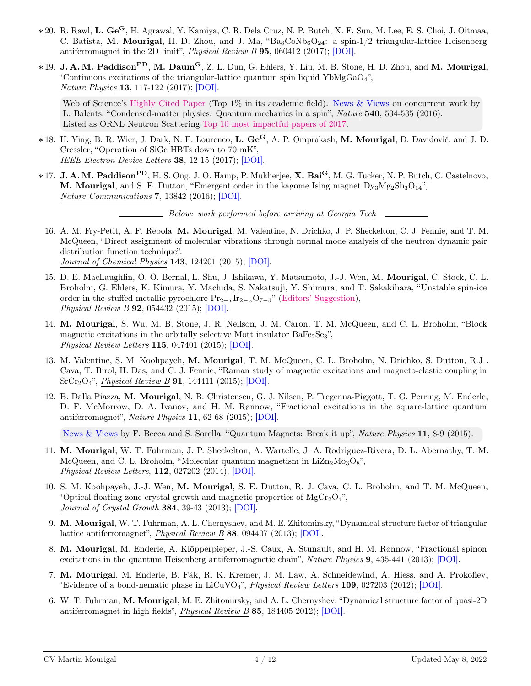- ∗ 20. R. Rawl, L. GeG, H. Agrawal, Y. Kamiya, C. R. Dela Cruz, N. P. Butch, X. F. Sun, M. Lee, E. S. Choi, J. Oitmaa, C. Batista, M. Mourigal, H. D. Zhou, and J. Ma, " $Ba_8CoNb_6O_{24}$ : a spin-1/2 triangular-lattice Heisenberg antiferromagnet in the 2D limit", Physical Review B 95, 060412 (2017); [\[DOI\].](http://dx.doi.org/10.1103/PhysRevB.95.060412)
- ∗ 19. J. A. M. PaddisonPD, M. DaumG, Z. L. Dun, G. Ehlers, Y. Liu, M. B. Stone, H. D. Zhou, and M. Mourigal, "Continuous excitations of the triangular-lattice quantum spin liquid YbMgGaO<sub>4</sub>", Nature Physics 13, 117-122 (2017); [\[DOI\].](http://dx.doi.org/10.1038/nphys3971)

Web of Science's Highly Cited Paper (Top 1% in its academic field). [News & Views](http://dx.doi.org/10.1038/540534a) on concurrent work by L. Balents, "Condensed-matter physics: Quantum mechanics in a spin", Nature 540, 534-535 (2016). Listed as ORNL Neutron Scattering [Top 10 most impactful papers of 2017.](https://neutrons.ornl.gov/content/top-10-ornl-neutron-science-achievements-2017)

- ∗ 18. H. Ying, B. R. Wier, J. Dark, N. E. Lourenco, L. GeG, A. P. Omprakash, M. Mourigal, D. Davidović, and J. D. Cressler, "Operation of SiGe HBTs down to 70 mK", IEEE Electron Device Letters 38, 12-15 (2017); [\[DOI\].](http://dx.doi.org/10.1109/LED.2016.2633465)
- ∗ 17. J. A. M. PaddisonPD, H. S. Ong, J. O. Hamp, P. Mukherjee, X. BaiG, M. G. Tucker, N. P. Butch, C. Castelnovo, M. Mourigal, and S. E. Dutton, "Emergent order in the kagome Ising magnet  $Dy_3Mg_2Sb_3O_14$ ", Nature Communications 7, 13842 (2016); [\[DOI\].](http://dx.doi.org/10.1038/ncomms13842)

Below: work performed before arriving at Georgia Tech

- 16. A. M. Fry-Petit, A. F. Rebola, M. Mourigal, M. Valentine, N. Drichko, J. P. Sheckelton, C. J. Fennie, and T. M. McQueen, "Direct assignment of molecular vibrations through normal mode analysis of the neutron dynamic pair distribution function technique". Journal of Chemical Physics 143, 124201 (2015); [\[DOI\].](http://dx.doi.org/10.1063/1.4930607)
- 15. D. E. MacLaughlin, O. O. Bernal, L. Shu, J. Ishikawa, Y. Matsumoto, J.-J. Wen, M. Mourigal, C. Stock, C. L. Broholm, G. Ehlers, K. Kimura, Y. Machida, S. Nakatsuji, Y. Shimura, and T. Sakakibara, "Unstable spin-ice order in the stuffed metallic pyrochlore  $Pr_{2+x}Ir_{2-x}O_{7-\delta}$ " (Editors' Suggestion), Physical Review B 92, 054432 (2015); [\[DOI\].](http://dx.doi.org/10.1103/PhysRevB.92.054432)
- 14. M. Mourigal, S. Wu, M. B. Stone, J. R. Neilson, J. M. Caron, T. M. McQueen, and C. L. Broholm, "Block magnetic excitations in the orbitally selective Mott insulator  $BaFe<sub>2</sub>Se<sub>3</sub>$ ", Physical Review Letters 115, 047401 (2015); [\[DOI\].](http://dx.doi.org/10.1103/PhysRevLett.115.047401)
- 13. M. Valentine, S. M. Koohpayeh, M. Mourigal, T. M. McQueen, C. L. Broholm, N. Drichko, S. Dutton, R.J . Cava, T. Birol, H. Das, and C. J. Fennie, "Raman study of magnetic excitations and magneto-elastic coupling in  $SrCr_2O_4$ ", *Physical Review B* **91**, 144411 (2015); [\[DOI\].](http://dx.doi.org/10.1103/PhysRevB.91.144411)
- 12. B. Dalla Piazza, M. Mourigal, N. B. Christensen, G. J. Nilsen, P. Tregenna-Piggott, T. G. Perring, M. Enderle, D. F. McMorrow, D. A. Ivanov, and H. M. Rønnow, "Fractional excitations in the square-lattice quantum antiferromagnet", Nature Physics 11, 62-68 (2015); [\[DOI\].](http://dx.doi.org/10.1038/nphys3172)

[News & Views](http://dx.doi.org/10.1038/nphys3213) by F. Becca and S. Sorella, "Quantum Magnets: Break it up", Nature Physics 11, 8-9 (2015).

- 11. M. Mourigal, W. T. Fuhrman, J. P. Sheckelton, A. Wartelle, J. A. Rodriguez-Rivera, D. L. Abernathy, T. M. McQueen, and C. L. Broholm, "Molecular quantum magnetism in  $LiZn<sub>2</sub>Mo<sub>3</sub>O<sub>8</sub>$ ", Physical Review Letters, 112, 027202 (2014); [\[DOI\].](http://dx.doi.org/10.1103/PhysRevLett.112.027202)
- 10. S. M. Koohpayeh, J.-J. Wen, M. Mourigal, S. E. Dutton, R. J. Cava, C. L. Broholm, and T. M. McQueen, "Optical floating zone crystal growth and magnetic properties of  $MgCr_2O_4$ ", Journal of Crystal Growth 384, 39-43 (2013); [\[DOI\].](http://dx.doi.org/10.1016/j.jcrysgro.2013.09.005)
- 9. M. Mourigal, W. T. Fuhrman, A. L. Chernyshev, and M. E. Zhitomirsky, "Dynamical structure factor of triangular lattice antiferromagnet", Physical Review B 88, 094407 (2013); [\[DOI\].](http://dx.doi.org/10.1103/PhysRevB.88.094407)
- 8. M. Mourigal, M. Enderle, A. Klöpperpieper, J.-S. Caux, A. Stunault, and H. M. Rønnow, "Fractional spinon excitations in the quantum Heisenberg antiferromagnetic chain", Nature Physics 9, 435-441 (2013); [\[DOI\].](http://dx.doi.org/10.1038/nphys2652)
- 7. M. Mourigal, M. Enderle, B. Fåk, R. K. Kremer, J. M. Law, A. Schneidewind, A. Hiess, and A. Prokofiev, "Evidence of a bond-nematic phase in LiCuVO4", Physical Review Letters 109, 027203 (2012); [\[DOI\].](http://dx.doi.org/10.1103/PhysRevLett.109.027203)
- 6. W. T. Fuhrman, M. Mourigal, M. E. Zhitomirsky, and A. L. Chernyshev, "Dynamical structure factor of quasi-2D antiferromagnet in high fields", Physical Review B 85, 184405 2012); [\[DOI\].](http://dx.doi.org/10.1103/PhysRevB.85.184405)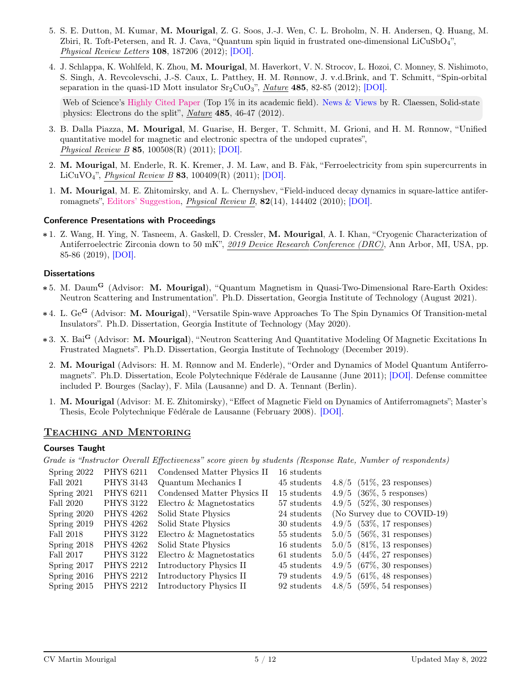- 5. S. E. Dutton, M. Kumar, M. Mourigal, Z. G. Soos, J.-J. Wen, C. L. Broholm, N. H. Andersen, Q. Huang, M. Zbiri, R. Toft-Petersen, and R. J. Cava, "Quantum spin liquid in frustrated one-dimensional LiCuSbO4", Physical Review Letters 108, 187206 (2012); [\[DOI\].](http://dx.doi.org/10.1103/PhysRevLett.108.187206)
- 4. J. Schlappa, K. Wohlfeld, K. Zhou, M. Mourigal, M. Haverkort, V. N. Strocov, L. Hozoi, C. Monney, S. Nishimoto, S. Singh, A. Revcolevschi, J.-S. Caux, L. Patthey, H. M. Rønnow, J. v.d.Brink, and T. Schmitt, "Spin-orbital separation in the quasi-1D Mott insulator  $Sr_2CuO_3$ ", *Nature* **485**, 82-85 (2012); [\[DOI\].](http://dx.doi.org/10.1038/nature10974)

Web of Science's Highly Cited Paper (Top  $1\%$  in its academic field). [News & Views](https://www.nature.com/articles/nature11038) by R. Claessen, Solid-state physics: Electrons do the split", Nature 485, 46-47 (2012).

- 3. B. Dalla Piazza, M. Mourigal, M. Guarise, H. Berger, T. Schmitt, M. Grioni, and H. M. Rønnow, "Unified quantitative model for magnetic and electronic spectra of the undoped cuprates", Physical Review B 85, 100508(R) (2011); [\[DOI\].](http://dx.doi.org/10.1103/PhysRevB.85.100508)
- 2. M. Mourigal, M. Enderle, R. K. Kremer, J. M. Law, and B. Fåk, "Ferroelectricity from spin supercurrents in LiCuVO<sub>4</sub>", *Physical Review B* 83, 100409(R) (2011); [\[DOI\].](http://dx.doi.org/10.1103/PhysRevB.83.100409)
- 1. M. Mourigal, M. E. Zhitomirsky, and A. L. Chernyshev, "Field-induced decay dynamics in square-lattice antiferromagnets", Editors' Suggestion, Physical Review B, 82(14), 144402 (2010); [\[DOI\].](http://dx.doi.org/10.1103/PhysRevB.82.144402)

#### Conference Presentations with Proceedings

∗ 1. Z. Wang, H. Ying, N. Tasneem, A. Gaskell, D. Cressler, M. Mourigal, A. I. Khan, "Cryogenic Characterization of Antiferroelectric Zirconia down to 50 mK", 2019 Device Research Conference (DRC), Ann Arbor, MI, USA, pp. 85-86 (2019), [\[DOI\].](https://doi.org/10.1109/DRC46940.2019.9046475)

## **Dissertations**

- ∗ 5. M. Daum<sup>G</sup> (Advisor: M. Mourigal), "Quantum Magnetism in Quasi-Two-Dimensional Rare-Earth Oxides: Neutron Scattering and Instrumentation". Ph.D. Dissertation, Georgia Institute of Technology (August 2021).
- ∗ 4. L. Ge<sup>G</sup> (Advisor: M. Mourigal), "Versatile Spin-wave Approaches To The Spin Dynamics Of Transition-metal Insulators". Ph.D. Dissertation, Georgia Institute of Technology (May 2020).
- ∗ 3. X. Bai<sup>G</sup> (Advisor: M. Mourigal), "Neutron Scattering And Quantitative Modeling Of Magnetic Excitations In Frustrated Magnets". Ph.D. Dissertation, Georgia Institute of Technology (December 2019).
	- 2. M. Mourigal (Advisors: H. M. Rønnow and M. Enderle), "Order and Dynamics of Model Quantum Antiferromagnets". Ph.D. Dissertation, Ecole Polytechnique Fédérale de Lausanne (June 2011); [\[DOI\].](http://dx.doi.org/10.5075/epfl-thesis-5081) Defense committee included P. Bourges (Saclay), F. Mila (Lausanne) and D. A. Tennant (Berlin).
	- 1. M. Mourigal (Advisor: M. E. Zhitomirsky), "Effect of Magnetic Field on Dynamics of Antiferromagnets"; Master's Thesis, Ecole Polytechnique Fédérale de Lausanne (February 2008). [\[DOI\].](http://infoscience.epfl.ch/record/145843)

## Teaching and Mentoring

#### Courses Taught

Grade is "Instructor Overall Effectiveness" score given by students (Response Rate, Number of respondents)

| Spring 2022   | <b>PHYS 6211</b> | Condensed Matter Physics II | 16 students |                                |
|---------------|------------------|-----------------------------|-------------|--------------------------------|
| Fall 2021     | <b>PHYS 3143</b> | Quantum Mechanics I         | 45 students | $4.8/5$ (51\%, 23 responses)   |
| Spring 2021   | <b>PHYS 6211</b> | Condensed Matter Physics II | 15 students | $4.9/5$ $(36\%, 5$ responses)  |
| Fall 2020     | <b>PHYS 3122</b> | Electro & Magnetostatics    | 57 students | $4.9/5$ (52\%, 30 responses)   |
| Spring 2020   | <b>PHYS 4262</b> | Solid State Physics         | 24 students | (No Survey due to COVID-19)    |
| Spring 2019   | <b>PHYS 4262</b> | Solid State Physics         | 30 students | $4.9/5$ $(53\%, 17$ responses) |
| Fall 2018     | <b>PHYS 3122</b> | Electro & Magnetostatics    | 55 students | $5.0/5$ (56\%, 31 responses)   |
| Spring 2018   | <b>PHYS 4262</b> | Solid State Physics         | 16 students | $5.0/5$ $(81\%, 13$ responses) |
| Fall 2017     | <b>PHYS 3122</b> | Electro & Magnetostatics    | 61 students | $5.0/5$ $(44\%, 27$ responses) |
| Spring 2017   | <b>PHYS 2212</b> | Introductory Physics II     | 45 students | $4.9/5$ (67\%, 30 responses)   |
| Spring $2016$ | <b>PHYS 2212</b> | Introductory Physics II     | 79 students | $4.9/5$ (61\%, 48 responses)   |
| Spring 2015   | <b>PHYS 2212</b> | Introductory Physics II     | 92 students | $4.8/5$ (59%, 54 responses)    |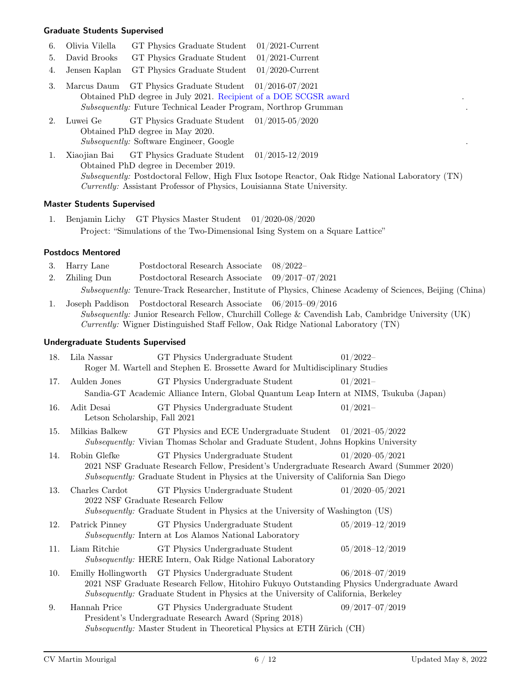#### Graduate Students Supervised

- 6. Olivia Vilella GT Physics Graduate Student 01/2021-Current
- 5. David Brooks GT Physics Graduate Student 01/2021-Current
- 4. Jensen Kaplan GT Physics Graduate Student 01/2020-Current
- 3. Marcus Daum GT Physics Graduate Student 01/2016-07/2021 Obtained PhD degree in July 2021. [Recipient of a DOE SCGSR award](https://science.osti.gov/wdts/scgsr/SCGSR-Awards) . Subsequently: Future Technical Leader Program, Northrop Grumman .
- 2. Luwei Ge GT Physics Graduate Student 01/2015-05/2020 Obtained PhD degree in May 2020. Subsequently: Software Engineer, Google .
- 1. Xiaojian Bai GT Physics Graduate Student 01/2015-12/2019 Obtained PhD degree in December 2019. Subsequently: Postdoctoral Fellow, High Flux Isotope Reactor, Oak Ridge National Laboratory (TN) Currently: Assistant Professor of Physics, Louisianna State University.

#### Master Students Supervised

1. Benjamin Lichy GT Physics Master Student 01/2020-08/2020 Project: "Simulations of the Two-Dimensional Ising System on a Square Lattice"

#### Postdocs Mentored

- 3. Harry Lane Postdoctoral Research Associate 08/2022– 2. Zhiling Dun Postdoctoral Research Associate 09/2017–07/2021 Subsequently: Tenure-Track Researcher, Institute of Physics, Chinese Academy of Sciences, Beijing (China)
- 1. Joseph Paddison Postdoctoral Research Associate 06/2015–09/2016 Subsequently: Junior Research Fellow, Churchill College & Cavendish Lab, Cambridge University (UK) Currently: Wigner Distinguished Staff Fellow, Oak Ridge National Laboratory (TN)

#### Undergraduate Students Supervised

| 18. | Lila Nassar                                 | GT Physics Undergraduate Student<br>Roger M. Wartell and Stephen E. Brossette Award for Multidisciplinary Studies                                                                                                                         | $01/2022-$          |
|-----|---------------------------------------------|-------------------------------------------------------------------------------------------------------------------------------------------------------------------------------------------------------------------------------------------|---------------------|
| 17. | Aulden Jones                                | GT Physics Undergraduate Student                                                                                                                                                                                                          | $01/2021-$          |
|     |                                             | Sandia-GT Academic Alliance Intern, Global Quantum Leap Intern at NIMS, Tsukuba (Japan)                                                                                                                                                   |                     |
| 16. | Adit Desai<br>Letson Scholarship, Fall 2021 | GT Physics Undergraduate Student                                                                                                                                                                                                          | $01/2021-$          |
| 15. | Milkias Balkew                              | GT Physics and ECE Undergraduate Student $01/2021-05/2022$<br>Subsequently: Vivian Thomas Scholar and Graduate Student, Johns Hopkins University                                                                                          |                     |
| 14. | Robin Glefke                                | GT Physics Undergraduate Student<br>2021 NSF Graduate Research Fellow, President's Undergraduate Research Award (Summer 2020)<br>Subsequently: Graduate Student in Physics at the University of California San Diego                      | $01/2020 - 05/2021$ |
| 13. | Charles Cardot                              | GT Physics Undergraduate Student<br>$2022$ NSF Graduate Research Fellow<br><i>Subsequently:</i> Graduate Student in Physics at the University of Washington (US)                                                                          | $01/2020 - 05/2021$ |
| 12. | Patrick Pinney                              | GT Physics Undergraduate Student<br>Subsequently: Intern at Los Alamos National Laboratory                                                                                                                                                | $05/2019 - 12/2019$ |
| 11. | Liam Ritchie                                | GT Physics Undergraduate Student<br>Subsequently: HERE Intern, Oak Ridge National Laboratory                                                                                                                                              | $05/2018 - 12/2019$ |
| 10. |                                             | Emilly Hollingworth GT Physics Undergraduate Student<br>2021 NSF Graduate Research Fellow, Hitohiro Fukuyo Outstanding Physics Undergraduate Award<br>Subsequently: Graduate Student in Physics at the University of California, Berkeley | $06/2018 - 07/2019$ |
| 9.  | Hannah Price                                | GT Physics Undergraduate Student<br>President's Undergraduate Research Award (Spring 2018)<br>Subsequently: Master Student in Theoretical Physics at ETH Zürich (CH)                                                                      | 09/2017-07/2019     |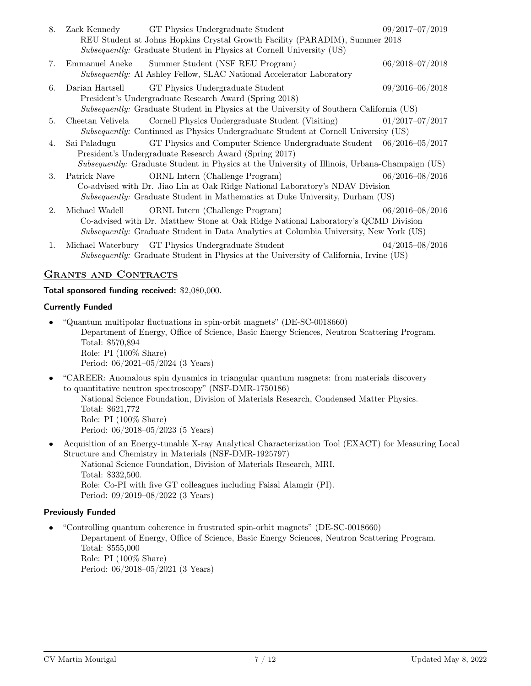| 8. | Zack Kennedy                | GT Physics Undergraduate Student<br>REU Student at Johns Hopkins Crystal Growth Facility (PARADIM), Summer 2018<br><i>Subsequently:</i> Graduate Student in Physics at Cornell University (US)                                      | 09/2017-07/2019     |
|----|-----------------------------|-------------------------------------------------------------------------------------------------------------------------------------------------------------------------------------------------------------------------------------|---------------------|
| 7. |                             | Emmanuel Aneke Summer Student (NSF REU Program)<br>Subsequently: Al Ashley Fellow, SLAC National Accelerator Laboratory                                                                                                             | 06/2018-07/2018     |
| 6. |                             | Darian Hartsell GT Physics Undergraduate Student<br>President's Undergraduate Research Award (Spring 2018)<br>Subsequently: Graduate Student in Physics at the University of Southern California (US)                               | 09/2016-06/2018     |
| 5. | Cheetan Velivela            | Cornell Physics Undergraduate Student (Visiting)<br>Subsequently: Continued as Physics Undergraduate Student at Cornell University (US)                                                                                             | $01/2017 - 07/2017$ |
| 4. | Sai Paladugu                | GT Physics and Computer Science Undergraduate Student $06/2016-05/2017$<br>President's Undergraduate Research Award (Spring 2017)<br>Subsequently: Graduate Student in Physics at the University of Illinois, Urbana-Champaign (US) |                     |
| 3. | Patrick Nave                | ORNL Intern (Challenge Program)<br>Co-advised with Dr. Jiao Lin at Oak Ridge National Laboratory's NDAV Division<br>Subsequently: Graduate Student in Mathematics at Duke University, Durham (US)                                   | $06/2016 - 08/2016$ |
| 2. | Michael Wadell              | ORNL Intern (Challenge Program)<br>Co-advised with Dr. Matthew Stone at Oak Ridge National Laboratory's QCMD Division<br>Subsequently: Graduate Student in Data Analytics at Columbia University, New York (US)                     | $06/2016 - 08/2016$ |
| 1. |                             | Michael Waterbury GT Physics Undergraduate Student<br>Subsequently: Graduate Student in Physics at the University of California, Irvine (US)                                                                                        | $04/2015 - 08/2016$ |
|    | <b>GRANTS AND CONTRACTS</b> |                                                                                                                                                                                                                                     |                     |

## Total sponsored funding received: \$2,080,000.

## Currently Funded

- "Quantum multipolar fluctuations in spin-orbit magnets" (DE-SC-0018660) Department of Energy, Office of Science, Basic Energy Sciences, Neutron Scattering Program. Total: \$570,894 Role: PI (100% Share) Period: 06/2021–05/2024 (3 Years)
- "CAREER: Anomalous spin dynamics in triangular quantum magnets: from materials discovery to quantitative neutron spectroscopy" (NSF-DMR-1750186) National Science Foundation, Division of Materials Research, Condensed Matter Physics.

Total: \$621,772 Role: PI (100% Share) Period: 06/2018–05/2023 (5 Years)

• Acquisition of an Energy-tunable X-ray Analytical Characterization Tool (EXACT) for Measuring Local Structure and Chemistry in Materials (NSF-DMR-1925797) National Science Foundation, Division of Materials Research, MRI. Total: \$332,500. Role: Co-PI with five GT colleagues including Faisal Alamgir (PI). Period: 09/2019–08/2022 (3 Years)

## Previously Funded

• "Controlling quantum coherence in frustrated spin-orbit magnets" (DE-SC-0018660)

Department of Energy, Office of Science, Basic Energy Sciences, Neutron Scattering Program. Total: \$555,000 Role: PI (100% Share)

Period: 06/2018–05/2021 (3 Years)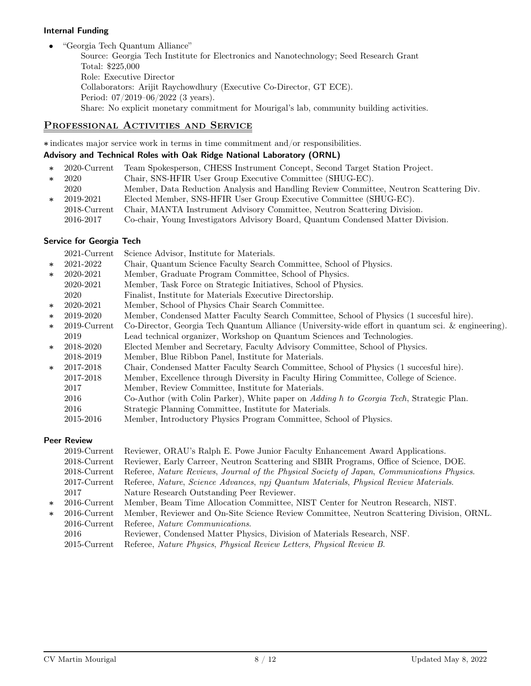## Internal Funding

- "Georgia Tech Quantum Alliance"
	- Source: Georgia Tech Institute for Electronics and Nanotechnology; Seed Research Grant Total: \$225,000 Role: Executive Director Collaborators: Arijit Raychowdhury (Executive Co-Director, GT ECE). Period: 07/2019–06/2022 (3 years). Share: No explicit monetary commitment for Mourigal's lab, community building activities.

## PROFESSIONAL ACTIVITIES AND SERVICE

∗ indicates major service work in terms in time commitment and/or responsibilities.

## Advisory and Technical Roles with Oak Ridge National Laboratory (ORNL)

- ∗ 2020-Current Team Spokesperson, CHESS Instrument Concept, Second Target Station Project.
- ∗ 2020 Chair, SNS-HFIR User Group Executive Committee (SHUG-EC).
- 2020 Member, Data Reduction Analysis and Handling Review Committee, Neutron Scattering Div.
- ∗ 2019-2021 Elected Member, SNS-HFIR User Group Executive Committee (SHUG-EC). 2018-Current Chair, MANTA Instrument Advisory Committee, Neutron Scattering Division. 2016-2017 Co-chair, Young Investigators Advisory Board, Quantum Condensed Matter Division.

## Service for Georgia Tech

|        | $2021$ -Current | Science Advisor, Institute for Materials.                                                          |
|--------|-----------------|----------------------------------------------------------------------------------------------------|
| $\ast$ | 2021-2022       | Chair, Quantum Science Faculty Search Committee, School of Physics.                                |
| $\ast$ | 2020-2021       | Member, Graduate Program Committee, School of Physics.                                             |
|        | 2020-2021       | Member, Task Force on Strategic Initiatives, School of Physics.                                    |
|        | 2020            | Finalist, Institute for Materials Executive Directorship.                                          |
| $\ast$ | 2020-2021       | Member, School of Physics Chair Search Committee.                                                  |
| $\ast$ | 2019-2020       | Member, Condensed Matter Faculty Search Committee, School of Physics (1 succesful hire).           |
| $\ast$ | $2019$ -Current | Co-Director, Georgia Tech Quantum Alliance (University-wide effort in quantum sci. & engineering). |
|        | 2019            | Lead technical organizer, Workshop on Quantum Sciences and Technologies.                           |
| $\ast$ | 2018-2020       | Elected Member and Secretary, Faculty Advisory Committee, School of Physics.                       |
|        | 2018-2019       | Member, Blue Ribbon Panel, Institute for Materials.                                                |
| $\ast$ | 2017-2018       | Chair, Condensed Matter Faculty Search Committee, School of Physics (1 succesful hire).            |
|        | 2017-2018       | Member, Excellence through Diversity in Faculty Hiring Committee, College of Science.              |
|        | 2017            | Member, Review Committee, Institute for Materials.                                                 |
|        | 2016            | Co-Author (with Colin Parker), White paper on Adding $\hbar$ to Georgia Tech, Strategic Plan.      |
|        | 2016            | Strategic Planning Committee, Institute for Materials.                                             |
|        | 2015-2016       | Member, Introductory Physics Program Committee, School of Physics.                                 |

#### Peer Review

|        | $2019$ -Current | Reviewer, ORAU's Ralph E. Powe Junior Faculty Enhancement Award Applications.              |
|--------|-----------------|--------------------------------------------------------------------------------------------|
|        | $2018$ -Current | Reviewer, Early Carreer, Neutron Scattering and SBIR Programs, Office of Science, DOE.     |
|        | $2018$ -Current | Referee, Nature Reviews, Journal of the Physical Society of Japan, Communications Physics. |
|        | $2017$ -Current | Referee, Nature, Science Advances, npj Quantum Materials, Physical Review Materials.       |
|        | 2017            | Nature Research Outstanding Peer Reviewer.                                                 |
| $\ast$ | $2016$ -Current | Member, Beam Time Allocation Committee, NIST Center for Neutron Research, NIST.            |
| $\ast$ | $2016$ -Current | Member, Reviewer and On-Site Science Review Committee, Neutron Scattering Division, ORNL.  |
|        | $2016$ -Current | Referee, <i>Nature Communications</i> .                                                    |
|        | 2016            | Reviewer, Condensed Matter Physics, Division of Materials Research, NSF.                   |
|        | $2015$ -Current | Referee, Nature Physics, Physical Review Letters, Physical Review B.                       |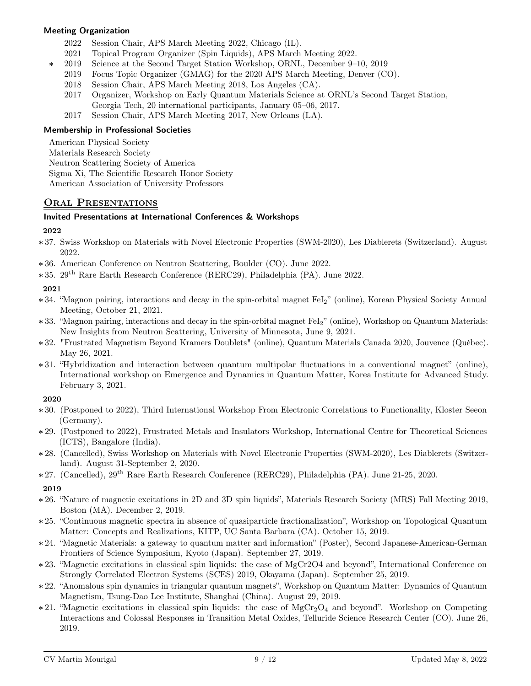## Meeting Organization

- 2022 Session Chair, APS March Meeting 2022, Chicago (IL).
- 2021 Topical Program Organizer (Spin Liquids), APS March Meeting 2022.
- ∗ 2019 Science at the Second Target Station Workshop, ORNL, December 9–10, 2019
	- 2019 Focus Topic Organizer (GMAG) for the 2020 APS March Meeting, Denver (CO).
	- 2018 Session Chair, APS March Meeting 2018, Los Angeles (CA).
	- 2017 Organizer, Workshop on Early Quantum Materials Science at ORNL's Second Target Station, Georgia Tech, 20 international participants, January 05–06, 2017.
	- 2017 Session Chair, APS March Meeting 2017, New Orleans (LA).

## Membership in Professional Societies

American Physical Society Materials Research Society Neutron Scattering Society of America Sigma Xi, The Scientific Research Honor Society American Association of University Professors

## ORAL PRESENTATIONS

## Invited Presentations at International Conferences & Workshops

#### 2022

- ∗ 37. Swiss Workshop on Materials with Novel Electronic Properties (SWM-2020), Les Diablerets (Switzerland). August 2022.
- ∗ 36. American Conference on Neutron Scattering, Boulder (CO). June 2022.
- ∗ 35. 29th Rare Earth Research Conference (RERC29), Philadelphia (PA). June 2022.

## 2021

- ∗ 34. "Magnon pairing, interactions and decay in the spin-orbital magnet FeI2" (online), Korean Physical Society Annual Meeting, October 21, 2021.
- ∗ 33. "Magnon pairing, interactions and decay in the spin-orbital magnet FeI2" (online), Workshop on Quantum Materials: New Insights from Neutron Scattering, University of Minnesota, June 9, 2021.
- ∗ 32. "Frustrated Magnetism Beyond Kramers Doublets" (online), Quantum Materials Canada 2020, Jouvence (Québec). May 26, 2021.
- ∗ 31. "Hybridization and interaction between quantum multipolar fluctuations in a conventional magnet" (online), International workshop on Emergence and Dynamics in Quantum Matter, Korea Institute for Advanced Study. February 3, 2021.

#### 2020

- ∗ 30. (Postponed to 2022), Third International Workshop From Electronic Correlations to Functionality, Kloster Seeon (Germany).
- ∗ 29. (Postponed to 2022), Frustrated Metals and Insulators Workshop, International Centre for Theoretical Sciences (ICTS), Bangalore (India).
- ∗ 28. (Cancelled), Swiss Workshop on Materials with Novel Electronic Properties (SWM-2020), Les Diablerets (Switzerland). August 31-September 2, 2020.
- ∗ 27. (Cancelled), 29th Rare Earth Research Conference (RERC29), Philadelphia (PA). June 21-25, 2020.

## 2019

- ∗ 26. "Nature of magnetic excitations in 2D and 3D spin liquids", Materials Research Society (MRS) Fall Meeting 2019, Boston (MA). December 2, 2019.
- ∗ 25. "Continuous magnetic spectra in absence of quasiparticle fractionalization", Workshop on Topological Quantum Matter: Concepts and Realizations, KITP, UC Santa Barbara (CA). October 15, 2019.
- ∗ 24. "Magnetic Materials: a gateway to quantum matter and information" (Poster), Second Japanese-American-German Frontiers of Science Symposium, Kyoto (Japan). September 27, 2019.
- ∗ 23. "Magnetic excitations in classical spin liquids: the case of MgCr2O4 and beyond", International Conference on Strongly Correlated Electron Systems (SCES) 2019, Okayama (Japan). September 25, 2019.
- ∗ 22. "Anomalous spin dynamics in triangular quantum magnets", Workshop on Quantum Matter: Dynamics of Quantum Magnetism, Tsung-Dao Lee Institute, Shanghai (China). August 29, 2019.
- $*21$ . "Magnetic excitations in classical spin liquids: the case of MgCr<sub>2</sub>O<sub>4</sub> and beyond". Workshop on Competing Interactions and Colossal Responses in Transition Metal Oxides, Telluride Science Research Center (CO). June 26, 2019.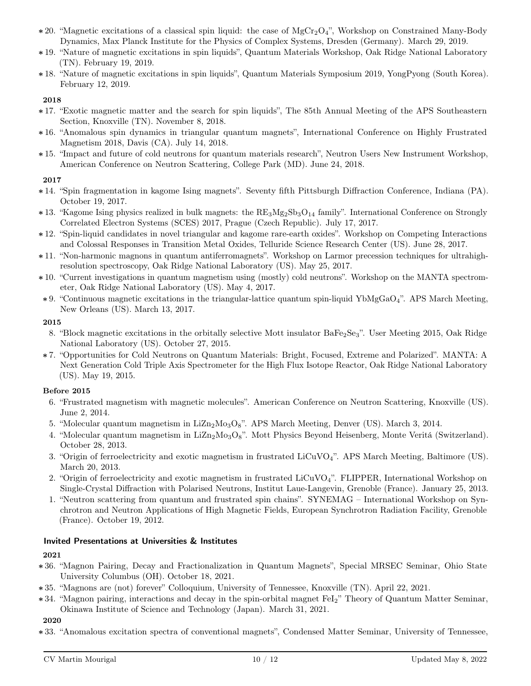- ∗ 20. "Magnetic excitations of a classical spin liquid: the case of MgCr2O4", Workshop on Constrained Many-Body Dynamics, Max Planck Institute for the Physics of Complex Systems, Dresden (Germany). March 29, 2019.
- ∗ 19. "Nature of magnetic excitations in spin liquids", Quantum Materials Workshop, Oak Ridge National Laboratory (TN). February 19, 2019.
- ∗ 18. "Nature of magnetic excitations in spin liquids", Quantum Materials Symposium 2019, YongPyong (South Korea). February 12, 2019.

#### 2018

- ∗ 17. "Exotic magnetic matter and the search for spin liquids", The 85th Annual Meeting of the APS Southeastern Section, Knoxville (TN). November 8, 2018.
- ∗ 16. "Anomalous spin dynamics in triangular quantum magnets", International Conference on Highly Frustrated Magnetism 2018, Davis (CA). July 14, 2018.
- ∗ 15. "Impact and future of cold neutrons for quantum materials research", Neutron Users New Instrument Workshop, American Conference on Neutron Scattering, College Park (MD). June 24, 2018.

## 2017

- ∗ 14. "Spin fragmentation in kagome Ising magnets". Seventy fifth Pittsburgh Diffraction Conference, Indiana (PA). October 19, 2017.
- $*13.$  "Kagome Ising physics realized in bulk magnets: the  $RE_3Mg_2Sb_3O_{14}$  family". International Conference on Strongly Correlated Electron Systems (SCES) 2017, Prague (Czech Republic). July 17, 2017.
- ∗ 12. "Spin-liquid candidates in novel triangular and kagome rare-earth oxides". Workshop on Competing Interactions and Colossal Responses in Transition Metal Oxides, Telluride Science Research Center (US). June 28, 2017.
- ∗ 11. "Non-harmonic magnons in quantum antiferromagnets". Workshop on Larmor precession techniques for ultrahighresolution spectroscopy, Oak Ridge National Laboratory (US). May 25, 2017.
- ∗ 10. "Current investigations in quantum magnetism using (mostly) cold neutrons". Workshop on the MANTA spectrometer, Oak Ridge National Laboratory (US). May 4, 2017.
- ∗ 9. "Continuous magnetic excitations in the triangular-lattice quantum spin-liquid YbMgGaO4". APS March Meeting, New Orleans (US). March 13, 2017.

## 2015

- 8. "Block magnetic excitations in the orbitally selective Mott insulator BaFe<sub>2</sub>Se<sub>3</sub>". User Meeting 2015, Oak Ridge National Laboratory (US). October 27, 2015.
- ∗ 7. "Opportunities for Cold Neutrons on Quantum Materials: Bright, Focused, Extreme and Polarized". MANTA: A Next Generation Cold Triple Axis Spectrometer for the High Flux Isotope Reactor, Oak Ridge National Laboratory (US). May 19, 2015.

## Before 2015

- 6. "Frustrated magnetism with magnetic molecules". American Conference on Neutron Scattering, Knoxville (US). June 2, 2014.
- 5. "Molecular quantum magnetism in LiZn<sub>2</sub>Mo<sub>3</sub>O<sub>8</sub>". APS March Meeting, Denver (US). March 3, 2014.
- 4. "Molecular quantum magnetism in LiZn2Mo3O8". Mott Physics Beyond Heisenberg, Monte Veritá (Switzerland). October 28, 2013.
- 3. "Origin of ferroelectricity and exotic magnetism in frustrated LiCuVO4". APS March Meeting, Baltimore (US). March 20, 2013.
- 2. "Origin of ferroelectricity and exotic magnetism in frustrated LiCuVO4". FLIPPER, International Workshop on Single-Crystal Diffraction with Polarised Neutrons, Institut Laue-Langevin, Grenoble (France). January 25, 2013.
- 1. "Neutron scattering from quantum and frustrated spin chains". SYNEMAG International Workshop on Synchrotron and Neutron Applications of High Magnetic Fields, European Synchrotron Radiation Facility, Grenoble (France). October 19, 2012.

## Invited Presentations at Universities & Institutes

## 2021

- ∗ 36. "Magnon Pairing, Decay and Fractionalization in Quantum Magnets", Special MRSEC Seminar, Ohio State University Columbus (OH). October 18, 2021.
- ∗ 35. "Magnons are (not) forever" Colloquium, University of Tennessee, Knoxville (TN). April 22, 2021.
- ∗ 34. "Magnon pairing, interactions and decay in the spin-orbital magnet FeI2" Theory of Quantum Matter Seminar, Okinawa Institute of Science and Technology (Japan). March 31, 2021.

## 2020

∗ 33. "Anomalous excitation spectra of conventional magnets", Condensed Matter Seminar, University of Tennessee,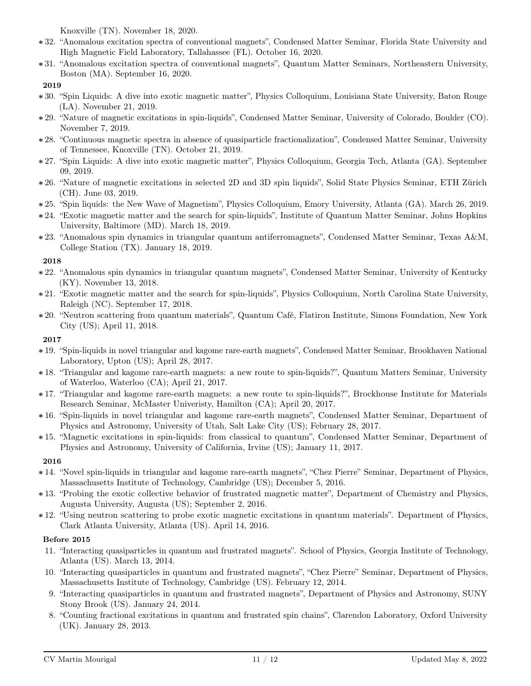Knoxville (TN). November 18, 2020.

- ∗ 32. "Anomalous excitation spectra of conventional magnets", Condensed Matter Seminar, Florida State University and High Magnetic Field Laboratory, Tallahassee (FL). October 16, 2020.
- ∗ 31. "Anomalous excitation spectra of conventional magnets", Quantum Matter Seminars, Northeastern University, Boston (MA). September 16, 2020.

```
2019
```
- ∗ 30. "Spin Liquids: A dive into exotic magnetic matter", Physics Colloquium, Louisiana State University, Baton Rouge (LA). November 21, 2019.
- ∗ 29. "Nature of magnetic excitations in spin-liquids", Condensed Matter Seminar, University of Colorado, Boulder (CO). November 7, 2019.
- ∗ 28. "Continuous magnetic spectra in absence of quasiparticle fractionalization", Condensed Matter Seminar, University of Tennessee, Knoxville (TN). October 21, 2019.
- ∗ 27. "Spin Liquids: A dive into exotic magnetic matter", Physics Colloquium, Georgia Tech, Atlanta (GA). September 09, 2019.
- ∗ 26. "Nature of magnetic excitations in selected 2D and 3D spin liquids", Solid State Physics Seminar, ETH Zürich (CH). June 03, 2019.
- ∗ 25. "Spin liquids: the New Wave of Magnetism", Physics Colloquium, Emory University, Atlanta (GA). March 26, 2019.
- ∗ 24. "Exotic magnetic matter and the search for spin-liquids", Institute of Quantum Matter Seminar, Johns Hopkins University, Baltimore (MD). March 18, 2019.
- ∗ 23. "Anomalous spin dynamics in triangular quantum antiferromagnets", Condensed Matter Seminar, Texas A&M, College Station (TX). January 18, 2019.

## 2018

- ∗ 22. "Anomalous spin dynamics in triangular quantum magnets", Condensed Matter Seminar, University of Kentucky (KY). November 13, 2018.
- ∗ 21. "Exotic magnetic matter and the search for spin-liquids", Physics Colloquium, North Carolina State University, Raleigh (NC). September 17, 2018.
- ∗ 20. "Neutron scattering from quantum materials", Quantum Café, Flatiron Institute, Simons Foundation, New York City (US); April 11, 2018.

## 2017

- ∗ 19. "Spin-liquids in novel triangular and kagome rare-earth magnets", Condensed Matter Seminar, Brookhaven National Laboratory, Upton (US); April 28, 2017.
- ∗ 18. "Triangular and kagome rare-earth magnets: a new route to spin-liquids?", Quantum Matters Seminar, University of Waterloo, Waterloo (CA); April 21, 2017.
- ∗ 17. "Triangular and kagome rare-earth magnets: a new route to spin-liquids?", Brockhouse Institute for Materials Research Seminar, McMaster Univeristy, Hamilton (CA); April 20, 2017.
- ∗ 16. "Spin-liquids in novel triangular and kagome rare-earth magnets", Condensed Matter Seminar, Department of Physics and Astronomy, University of Utah, Salt Lake City (US); February 28, 2017.
- ∗ 15. "Magnetic excitations in spin-liquids: from classical to quantum", Condensed Matter Seminar, Department of Physics and Astronomy, University of California, Irvine (US); January 11, 2017.

## 2016

- ∗ 14. "Novel spin-liquids in triangular and kagome rare-earth magnets", "Chez Pierre" Seminar, Department of Physics, Massachusetts Institute of Technology, Cambridge (US); December 5, 2016.
- ∗ 13. "Probing the exotic collective behavior of frustrated magnetic matter", Department of Chemistry and Physics, Augusta University, Augusta (US); September 2, 2016.
- ∗ 12. "Using neutron scattering to probe exotic magnetic excitations in quantum materials". Department of Physics, Clark Atlanta University, Atlanta (US). April 14, 2016.

## Before 2015

- 11. "Interacting quasiparticles in quantum and frustrated magnets". School of Physics, Georgia Institute of Technology, Atlanta (US). March 13, 2014.
- 10. "Interacting quasiparticles in quantum and frustrated magnets", "Chez Pierre" Seminar, Department of Physics, Massachusetts Institute of Technology, Cambridge (US). February 12, 2014.
- 9. "Interacting quasiparticles in quantum and frustrated magnets", Department of Physics and Astronomy, SUNY Stony Brook (US). January 24, 2014.
- 8. "Counting fractional excitations in quantum and frustrated spin chains", Clarendon Laboratory, Oxford University (UK). January 28, 2013.